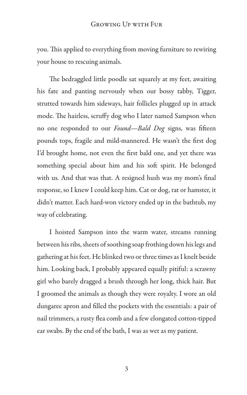## Growing Up with Fur

you. This applied to everything from moving furniture to rewiring your house to rescuing animals.

The bedraggled little poodle sat squarely at my feet, awaiting his fate and panting nervously when our bossy tabby, Tigger, strutted towards him sideways, hair follicles plugged up in attack mode. The hairless, scruffy dog who I later named Sampson when no one responded to our *Found—Bald Dog* signs, was fifteen pounds tops, fragile and mild-mannered. He wasn't the first dog I'd brought home, not even the first bald one, and yet there was something special about him and his soft spirit. He belonged with us. And that was that. A resigned hush was my mom's final response, so I knew I could keep him. Cat or dog, rat or hamster, it didn't matter. Each hard-won victory ended up in the bathtub, my way of celebrating.

I hoisted Sampson into the warm water, streams running between his ribs, sheets of soothing soap frothing down his legs and gathering at his feet. He blinked two or three times as I knelt beside him. Looking back, I probably appeared equally pitiful: a scrawny girl who barely dragged a brush through her long, thick hair. But I groomed the animals as though they were royalty. I wore an old dungaree apron and filled the pockets with the essentials: a pair of nail trimmers, a rusty flea comb and a few elongated cotton-tipped ear swabs. By the end of the bath, I was as wet as my patient.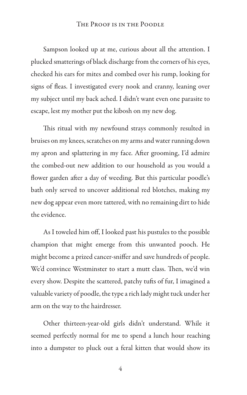## The Proof is in the Poodle

Sampson looked up at me, curious about all the attention. I plucked smatterings of black discharge from the corners of his eyes, checked his ears for mites and combed over his rump, looking for signs of fleas. I investigated every nook and cranny, leaning over my subject until my back ached. I didn't want even one parasite to escape, lest my mother put the kibosh on my new dog.

This ritual with my newfound strays commonly resulted in bruises on my knees, scratches on my arms and water running down my apron and splattering in my face. After grooming, I'd admire the combed-out new addition to our household as you would a flower garden after a day of weeding. But this particular poodle's bath only served to uncover additional red blotches, making my new dog appear even more tattered, with no remaining dirt to hide the evidence.

As I toweled him off, I looked past his pustules to the possible champion that might emerge from this unwanted pooch. He might become a prized cancer-sniffer and save hundreds of people. We'd convince Westminster to start a mutt class. Then, we'd win every show. Despite the scattered, patchy tufts of fur, I imagined a valuable variety of poodle, the type a rich lady might tuck under her arm on the way to the hairdresser.

Other thirteen-year-old girls didn't understand. While it seemed perfectly normal for me to spend a lunch hour reaching into a dumpster to pluck out a feral kitten that would show its

4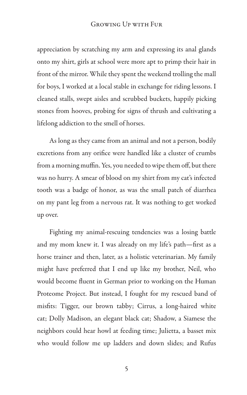## Growing Up with Fur

appreciation by scratching my arm and expressing its anal glands onto my shirt, girls at school were more apt to primp their hair in front of the mirror. While they spent the weekend trolling the mall for boys, I worked at a local stable in exchange for riding lessons. I cleaned stalls, swept aisles and scrubbed buckets, happily picking stones from hooves, probing for signs of thrush and cultivating a lifelong addiction to the smell of horses.

As long as they came from an animal and not a person, bodily excretions from any orifice were handled like a cluster of crumbs from a morning muffin. Yes, you needed to wipe them off, but there was no hurry. A smear of blood on my shirt from my cat's infected tooth was a badge of honor, as was the small patch of diarrhea on my pant leg from a nervous rat. It was nothing to get worked up over.

Fighting my animal-rescuing tendencies was a losing battle and my mom knew it. I was already on my life's path—first as a horse trainer and then, later, as a holistic veterinarian. My family might have preferred that I end up like my brother, Neil, who would become fluent in German prior to working on the Human Proteome Project. But instead, I fought for my rescued band of misfits: Tigger, our brown tabby; Cirrus, a long-haired white cat; Dolly Madison, an elegant black cat; Shadow, a Siamese the neighbors could hear howl at feeding time; Julietta, a basset mix who would follow me up ladders and down slides; and Rufus

5